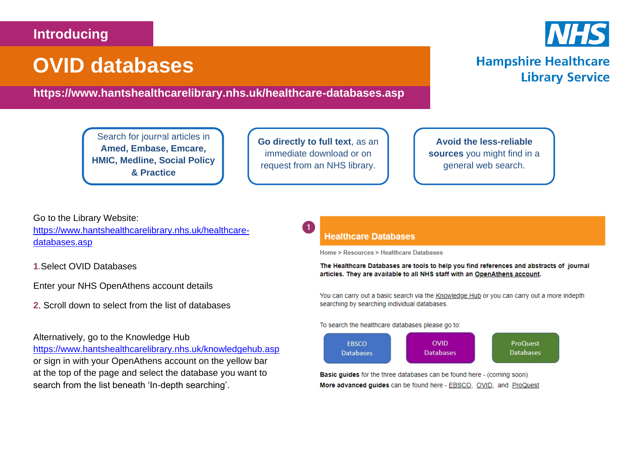# **Introducing**

# **OVID databases**

**https://www.hantshealthcarelibrary.nhs.uk/healthcare-databases.asp**

Search for journal articles in **6Amed, Embase, Emcare, HMIC, Medline, Social Policy & Practice**

**Go directly to full text**, as an immediate download or on request from an NHS library.

**Avoid the less-reliable sources** you might find in a general web search.

Go to the Library Website: [https://www.hantshealthcarelibrary.nhs.uk/healthcare](https://www.hantshealthcarelibrary.nhs.uk/healthcare-databases.asp)[databases.asp](https://www.hantshealthcarelibrary.nhs.uk/healthcare-databases.asp)

**1**.Select OVID Databases

Enter your NHS OpenAthens account details

**2**. Scroll down to select from the list of databases

Alternatively, go to the Knowledge Hub

<https://www.hantshealthcarelibrary.nhs.uk/knowledgehub.asp> or sign in with your OpenAthens account on the yellow bar at the top of the page and select the database you want to search from the list beneath 'In-depth searching'.

# **Healthcare Databases**

Home > Resources > Healthcare Databases

The Healthcare Databases are tools to help you find references and abstracts of journal articles. They are available to all NHS staff with an OpenAthens account.

You can carry out a basic search via the Knowledge Hub or you can carry out a more indepth searching by searching individual databases.

To search the healthcare databases please go to:



Basic guides for the three databases can be found here - (coming soon) More advanced guides can be found here - EBSCO, OVID, and ProQuest



**Library Service** 

**Hampshire Healthcare**